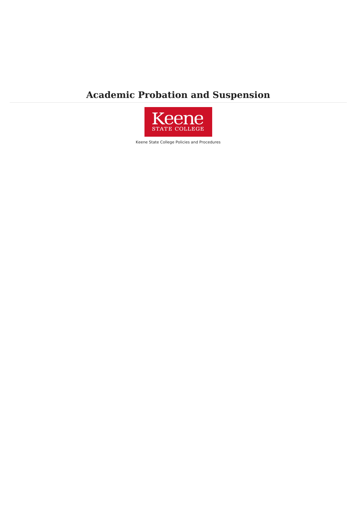## **Academic Probation and Suspension**



Keene State College Policies and Procedures